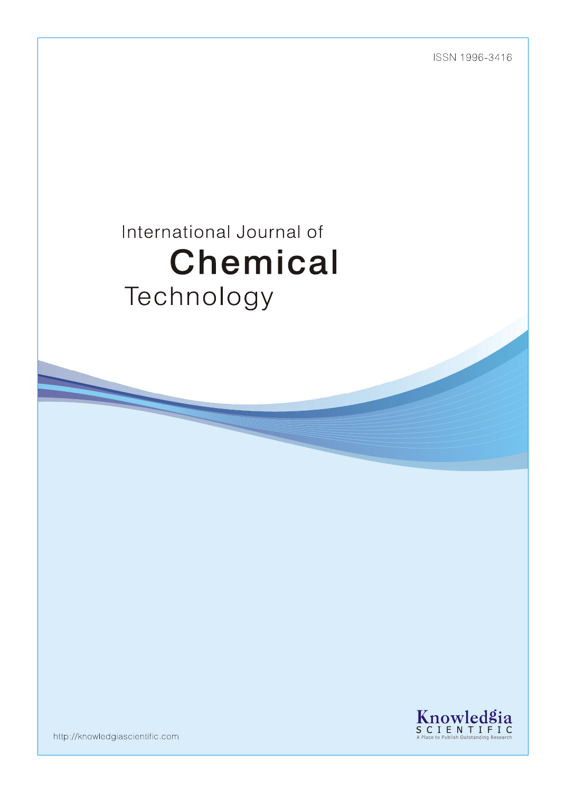ISSN 1996-3416

# International Journal of Chemical Technology



http://knowledgiascientific.com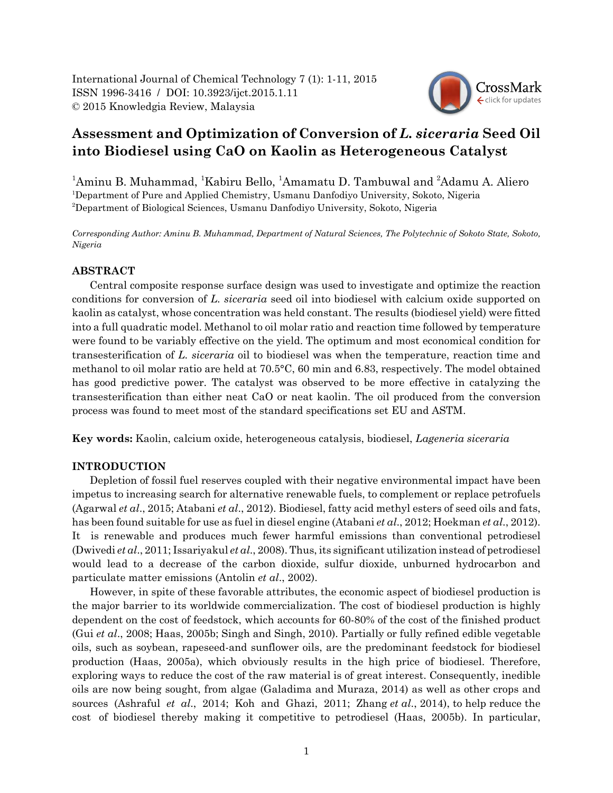

# **Assessment and Optimization of Conversion of** *L. siceraria* **Seed Oil into Biodiesel using CaO on Kaolin as Heterogeneous Catalyst**

<sup>1</sup>Aminu B. Muhammad, <sup>1</sup>Kabiru Bello, <sup>1</sup>Amamatu D. Tambuwal and <sup>2</sup>Adamu A. Aliero 1 Department of Pure and Applied Chemistry, Usmanu Danfodiyo University, Sokoto, Nigeria 2 Department of Biological Sciences, Usmanu Danfodiyo University, Sokoto, Nigeria

*Corresponding Author: Aminu B. Muhammad, Department of Natural Sciences, The Polytechnic of Sokoto State, Sokoto, Nigeria*

# **ABSTRACT**

Central composite response surface design was used to investigate and optimize the reaction conditions for conversion of *L. siceraria* seed oil into biodiesel with calcium oxide supported on kaolin as catalyst, whose concentration was held constant. The results (biodiesel yield) were fitted into a full quadratic model. Methanol to oil molar ratio and reaction time followed by temperature were found to be variably effective on the yield. The optimum and most economical condition for transesterification of *L. siceraria* oil to biodiesel was when the temperature, reaction time and methanol to oil molar ratio are held at 70.5°C, 60 min and 6.83, respectively. The model obtained has good predictive power. The catalyst was observed to be more effective in catalyzing the transesterification than either neat CaO or neat kaolin. The oil produced from the conversion process was found to meet most of the standard specifications set EU and ASTM.

**Key words:** Kaolin, calcium oxide, heterogeneous catalysis, biodiesel, *Lageneria siceraria*

# **INTRODUCTION**

Depletion of fossil fuel reserves coupled with their negative environmental impact have been impetus to increasing search for alternative renewable fuels, to complement or replace petrofuels (Agarwal *et al*., 2015; Atabani *et al*., 2012). Biodiesel, fatty acid methyl esters of seed oils and fats, has been found suitable for use as fuel in diesel engine (Atabani *et al*., 2012; Hoekman *et al*., 2012). It is renewable and produces much fewer harmful emissions than conventional petrodiesel (Dwivedi *et al*., 2011; Issariyakul *et al*., 2008). Thus, its significant utilization instead of petrodiesel would lead to a decrease of the carbon dioxide, sulfur dioxide, unburned hydrocarbon and particulate matter emissions (Antolin *et al*., 2002).

However, in spite of these favorable attributes, the economic aspect of biodiesel production is the major barrier to its worldwide commercialization. The cost of biodiesel production is highly dependent on the cost of feedstock, which accounts for 60-80% of the cost of the finished product (Gui *et al*., 2008; Haas, 2005b; Singh and Singh, 2010). Partially or fully refined edible vegetable oils, such as soybean, rapeseed-and sunflower oils, are the predominant feedstock for biodiesel production (Haas, 2005a), which obviously results in the high price of biodiesel. Therefore, exploring ways to reduce the cost of the raw material is of great interest. Consequently, inedible oils are now being sought, from algae (Galadima and Muraza, 2014) as well as other crops and sources (Ashraful *et al*., 2014; Koh and Ghazi, 2011; Zhang *et al*., 2014), to help reduce the cost of biodiesel thereby making it competitive to petrodiesel (Haas, 2005b). In particular,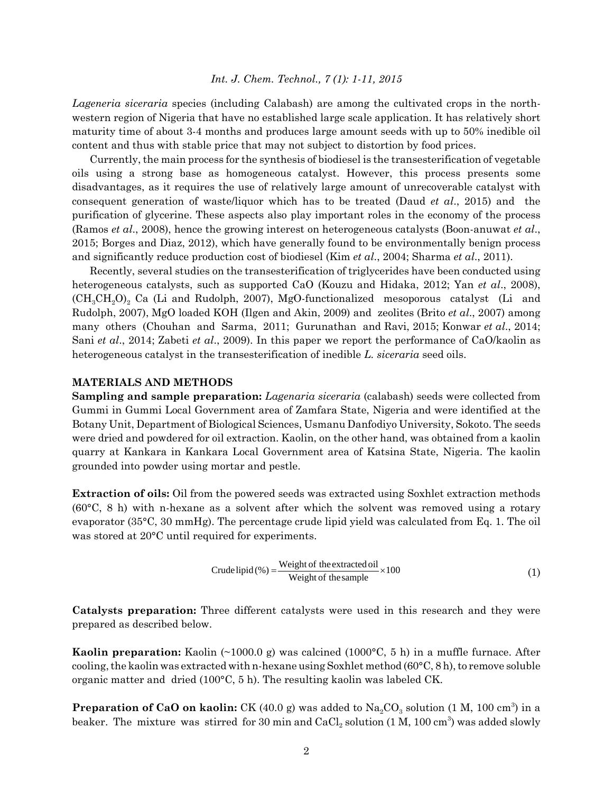*Lageneria siceraria* species (including Calabash) are among the cultivated crops in the northwestern region of Nigeria that have no established large scale application. It has relatively short maturity time of about 3-4 months and produces large amount seeds with up to 50% inedible oil content and thus with stable price that may not subject to distortion by food prices.

Currently, the main process for the synthesis of biodiesel is the transesterification of vegetable oils using a strong base as homogeneous catalyst. However, this process presents some disadvantages, as it requires the use of relatively large amount of unrecoverable catalyst with consequent generation of waste/liquor which has to be treated (Daud *et al*., 2015) and the purification of glycerine. These aspects also play important roles in the economy of the process (Ramos *et al*., 2008), hence the growing interest on heterogeneous catalysts (Boon-anuwat *et al*., 2015; Borges and Diaz, 2012), which have generally found to be environmentally benign process and significantly reduce production cost of biodiesel (Kim *et al*., 2004; Sharma *et al*., 2011).

Recently, several studies on the transesterification of triglycerides have been conducted using heterogeneous catalysts, such as supported CaO (Kouzu and Hidaka, 2012; Yan *et al*., 2008),  $(CH_3CH_2O)_2$  Ca (Li and Rudolph, 2007), MgO-functionalized mesoporous catalyst (Li and Rudolph, 2007), MgO loaded KOH (Ilgen and Akin, 2009) and zeolites (Brito *et al*., 2007) among many others (Chouhan and Sarma, 2011; Gurunathan and Ravi, 2015; Konwar *et al*., 2014; Sani *et al*., 2014; Zabeti *et al*., 2009). In this paper we report the performance of CaO/kaolin as heterogeneous catalyst in the transesterification of inedible *L. siceraria* seed oils.

#### **MATERIALS AND METHODS**

**Sampling and sample preparation:** *Lagenaria siceraria* (calabash) seeds were collected from Gummi in Gummi Local Government area of Zamfara State, Nigeria and were identified at the Botany Unit, Department of Biological Sciences, Usmanu Danfodiyo University, Sokoto. The seeds were dried and powdered for oil extraction. Kaolin, on the other hand, was obtained from a kaolin quarry at Kankara in Kankara Local Government area of Katsina State, Nigeria. The kaolin grounded into powder using mortar and pestle.

**Extraction of oils:** Oil from the powered seeds was extracted using Soxhlet extraction methods (60°C, 8 h) with n-hexane as a solvent after which the solvent was removed using a rotary evaporator (35°C, 30 mmHg). The percentage crude lipid yield was calculated from Eq. 1. The oil was stored at 20°C until required for experiments.

Crude lipid (%) = 
$$
\frac{\text{Weight of the extracted oil}}{\text{Weight of the sample}} \times 100
$$
 (1)

**Catalysts preparation:** Three different catalysts were used in this research and they were prepared as described below.

**Kaolin preparation:** Kaolin (~1000.0 g) was calcined (1000°C, 5 h) in a muffle furnace. After cooling, the kaolin was extracted with n-hexane using Soxhlet method ( $60^{\circ}$ C, 8 h), to remove soluble organic matter and dried (100°C, 5 h). The resulting kaolin was labeled CK.

**Preparation of CaO on kaolin:** CK (40.0 g) was added to  $\text{Na}_2\text{CO}_3$  solution (1 M, 100 cm<sup>3</sup>) in a beaker. The mixture was stirred for 30 min and  $\rm CaCl_2$  solution (1 M, 100 cm $^3$ ) was added slowly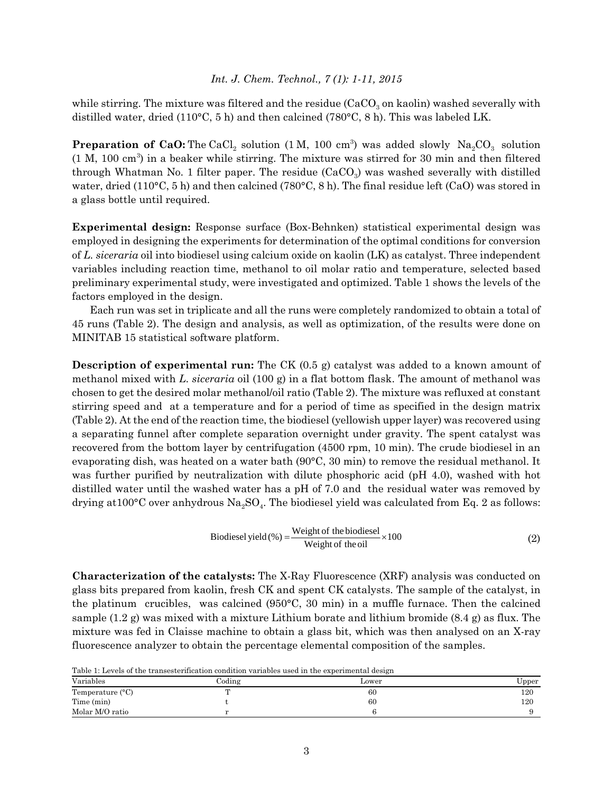while stirring. The mixture was filtered and the residue ( $CaCO<sub>3</sub>$  on kaolin) washed severally with distilled water, dried (110°C, 5 h) and then calcined (780°C, 8 h). This was labeled LK.

**Preparation of CaO:** The CaCl<sub>2</sub> solution  $(1 \text{ M}, 100 \text{ cm}^3)$  was added slowly  $\text{Na}_2\text{CO}_3$  solution  $(1 M, 100 cm<sup>3</sup>)$  in a beaker while stirring. The mixture was stirred for 30 min and then filtered through Whatman No. 1 filter paper. The residue  $(CaCO<sub>3</sub>)$  was washed severally with distilled water, dried (110°C, 5 h) and then calcined (780°C, 8 h). The final residue left (CaO) was stored in a glass bottle until required.

**Experimental design:** Response surface (Box-Behnken) statistical experimental design was employed in designing the experiments for determination of the optimal conditions for conversion of *L. siceraria* oil into biodiesel using calcium oxide on kaolin (LK) as catalyst. Three independent variables including reaction time, methanol to oil molar ratio and temperature, selected based preliminary experimental study, were investigated and optimized. Table 1 shows the levels of the factors employed in the design.

Each run was set in triplicate and all the runs were completely randomized to obtain a total of 45 runs (Table 2). The design and analysis, as well as optimization, of the results were done on MINITAB 15 statistical software platform.

**Description of experimental run:** The CK (0.5 g) catalyst was added to a known amount of methanol mixed with *L. siceraria* oil (100 g) in a flat bottom flask. The amount of methanol was chosen to get the desired molar methanol/oil ratio (Table 2). The mixture was refluxed at constant stirring speed and at a temperature and for a period of time as specified in the design matrix (Table 2). At the end of the reaction time, the biodiesel (yellowish upper layer) was recovered using a separating funnel after complete separation overnight under gravity. The spent catalyst was recovered from the bottom layer by centrifugation (4500 rpm, 10 min). The crude biodiesel in an evaporating dish, was heated on a water bath (90°C, 30 min) to remove the residual methanol. It was further purified by neutralization with dilute phosphoric acid (pH 4.0), washed with hot distilled water until the washed water has a pH of 7.0 and the residual water was removed by drying at  $100^{\circ}$ C over anhydrous Na<sub>2</sub>SO<sub>4</sub>. The biodiesel yield was calculated from Eq. 2 as follows:

Biodiesel yield (%) = 
$$
\frac{\text{Weight of the biological}}{\text{Weight of the oil}} \times 100
$$
 (2)

**Characterization of the catalysts:** The X-Ray Fluorescence (XRF) analysis was conducted on glass bits prepared from kaolin, fresh CK and spent CK catalysts. The sample of the catalyst, in the platinum crucibles, was calcined (950°C, 30 min) in a muffle furnace. Then the calcined sample  $(1.2 \text{ g})$  was mixed with a mixture Lithium borate and lithium bromide  $(8.4 \text{ g})$  as flux. The mixture was fed in Claisse machine to obtain a glass bit, which was then analysed on an X-ray fluorescence analyzer to obtain the percentage elemental composition of the samples.

Table 1: Levels of the transesterification condition variables used in the experimental design

| Variables                 | Coding       | Lower | Upper |
|---------------------------|--------------|-------|-------|
| Temperature $(^{\circ}C)$ | $\mathbf{m}$ | 60    | 120   |
| Time (min)                |              | 60    | 120   |
| Molar M/O ratio           |              |       |       |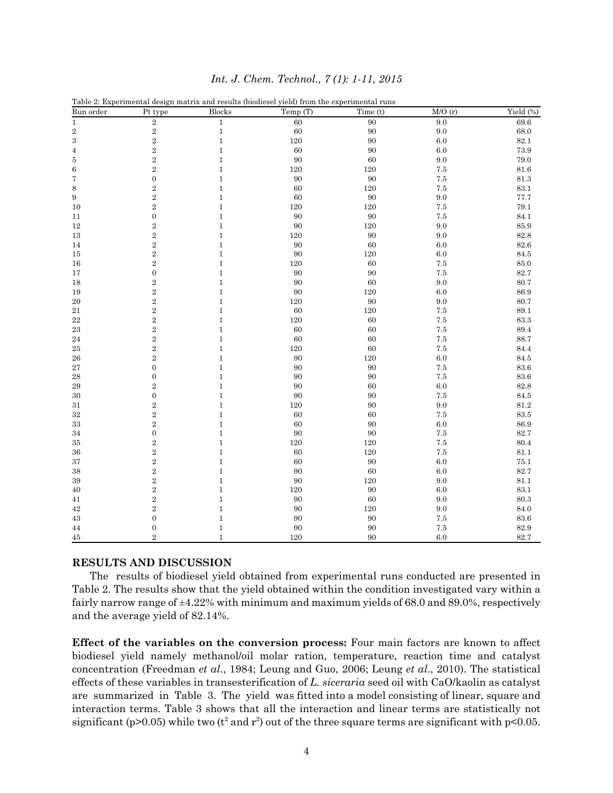| Run order       | $\rm Pt$ type    | <b>Blocks</b>  | Temp (T)  | Time (t)      | M/O(r)     | Yield (%)    |
|-----------------|------------------|----------------|-----------|---------------|------------|--------------|
| $\,1$           | $\,2$            | $\,1$          | 60        | $90\,$        | $9.0\,$    | $69.6\,$     |
| $\,2$           | $\,2$            | $\,1\,$        | 60        | 90            | 9.0        | 68.0         |
| 3               | $\,2$            | $\,1\,$        | 120       | 90            | $6.0\,$    | $82.1\,$     |
| $\overline{4}$  | $\,2$            | $\,1\,$        | 60        | 90            | $6.0\,$    | 73.9         |
| 5               | $\,2$            | $\,1\,$        | 90        | 60            | 9.0        | 79.0         |
| $\,6$           | $\,2$            | $\,1$          | 120       | 120           | $7.5\,$    | 81.6         |
| 7               | $\boldsymbol{0}$ | $\,1$          | 90        | $90\,$        | 7.5        | $81.3\,$     |
| 8               | $\,2$            | $1\,$          | 60        | 120           | 7.5        | 83.1         |
| $9\phantom{.0}$ | $\,2$            | $\,1$          | 60        | 90            | 9.0        | 77.7         |
| 10              | $\,2$            | $\,1$          | 120       | 120           | $7.5\,$    | $79.1\,$     |
| 11              | $\boldsymbol{0}$ | $\,1$          | 90        | 90            | 7.5        | 84.1         |
| 12              | $\,2$            | $\,1$          | 90        | 120           | 9.0        | 85.9         |
| 13              | $\,2$            | $\,1$          | 120       | 90            | 9.0        | 82.8         |
| 14              | $\,2$            | $\,1$          | 90        | 60            | 6.0        | $82.6\,$     |
| 15              | $\,2$            | $\,1$          | 90        | 120           | $6.0\,$    | 84.5         |
| 16              | $\,2$            | $\,1\,$        | 120       | 60            | 7.5        | $85.0\,$     |
| 17              | $\boldsymbol{0}$ | $1\,$          | 90        | 90            | 7.5        | 82.7         |
| 18              | $\overline{2}$   | $\,1\,$        | 90        | 60            | $9.0\,$    | $80.7\,$     |
| 19              | $\,2$            | $\,1$          | 90        | 120           | $6.0\,$    | 86.9         |
| $20\,$          | $\,2$            | $\,1$          | 120       | 90            | 9.0        | 80.7         |
| 21<br>$22\,$    | $\,2$<br>$\,2$   | $\,1$<br>$\,1$ | 60<br>120 | $120\,$<br>60 | 7.5        | 89.1<br>83.3 |
| 23              | $\,2$            | $\,1$          | 60        | 60            | 7.5<br>7.5 | 89.4         |
| 24              | $\overline{2}$   | $\,1$          | 60        | 60            | 7.5        | 88.7         |
| 25              | $\,2$            | $\,1$          | $120\,$   | 60            | 7.5        | 84.4         |
| 26              | $\,2$            | $\,1$          | 90        | $120\,$       | $6.0\,$    | $84.5\,$     |
| 27              | $\boldsymbol{0}$ | $\,1\,$        | 90        | 90            | $7.5\,$    | 83.6         |
| 28              | $\boldsymbol{0}$ | $\,1$          | 90        | 90            | 7.5        | $83.6\,$     |
| 29              | $\,2$            | $\,1$          | 90        | 60            | 6.0        | $82.8\,$     |
| 30              | $\boldsymbol{0}$ | $\,1$          | 90        | 90            | $7.5\,$    | 84.5         |
| 31              | $\,2$            | $\,1$          | 120       | 90            | $9.0\,$    | $81.2\,$     |
| $32\,$          | $\,2$            | $\,1$          | 60        | 60            | $7.5\,$    | $83.5\,$     |
| 33              | $\overline{2}$   | $\,1$          | 60        | 90            | $6.0\,$    | 86.9         |
| 34              | $\boldsymbol{0}$ | $\,1$          | 90        | 90            | $7.5\,$    | 82.7         |
| 35              | $\,2$            | $\,1$          | 120       | 120           | 7.5        | 80.4         |
| 36              | $\overline{2}$   | $\,1$          | 60        | 120           | 7.5        | 81.1         |
| 37              | $\,2$            | $\,1$          | 60        | 90            | $6.0\,$    | $75.1\,$     |
| 38              | $\,2$            | $\,1$          | 90        | 60            | 6.0        | $82.7\,$     |
| 39              | $\,2$            | $\,1\,$        | 90        | 120           | 9.0        | $81.1\,$     |
| 40              | $\,2$            | $\,1\,$        | 120       | 90            | 6.0        | 83.1         |
| 41              | $\,2$            | $1\,$          | 90        | 60            | 9.0        | 80.3         |
| 42              | $\,2$            | $\,1\,$        | 90        | 120           | 9.0        | 84.0         |
| 43              | $\mathbf{0}$     | $\,1$          | 90        | 90            | $7.5\,$    | $83.6\,$     |
| 44              | $\boldsymbol{0}$ | $\,1\,$        | 90        | 90            | $7.5\,$    | $82.9\,$     |
| 45              | $\overline{2}$   | $\mathbf{1}$   | 120       | 90            | $6.0\,$    | 82.7         |

# **RESULTS AND DISCUSSION**

The results of biodiesel yield obtained from experimental runs conducted are presented in Table 2. The results show that the yield obtained within the condition investigated vary within a fairly narrow range of  $\pm$ 4.22% with minimum and maximum yields of 68.0 and 89.0%, respectively and the average yield of 82.14%.

**Effect of the variables on the conversion process:** Four main factors are known to affect biodiesel yield namely methanol/oil molar ration, temperature, reaction time and catalyst concentration (Freedman *et al*., 1984; Leung and Guo, 2006; Leung *et al*., 2010). The statistical effects of these variables in transesterification of *L. siceraria* seed oil with CaO/kaolin as catalyst are summarized in Table 3. The yield was fitted into a model consisting of linear, square and interaction terms. Table 3 shows that all the interaction and linear terms are statistically not significant (p>0.05) while two ( $t^2$  and  $r^2$ ) out of the three square terms are significant with p<0.05.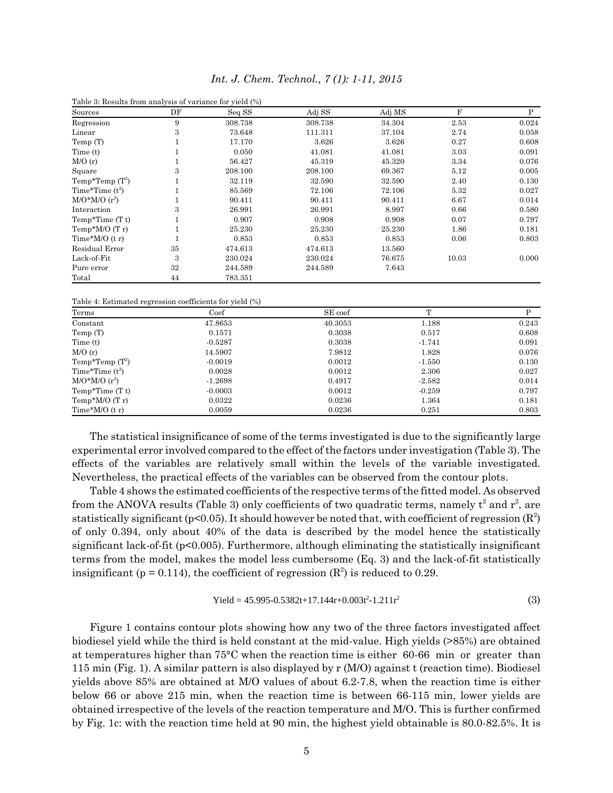| Table 3: Results from analysis of variance for yield (%) |    |         |         |        |       |       |
|----------------------------------------------------------|----|---------|---------|--------|-------|-------|
| Sources                                                  | DF | Seq SS  | Adj SS  | Adj MS | F     | P     |
| Regression                                               | 9  | 308.738 | 308.738 | 34.304 | 2.53  | 0.024 |
| Linear                                                   | 3  | 73.648  | 111.311 | 37.104 | 2.74  | 0.058 |
| Temp (T)                                                 |    | 17.170  | 3.626   | 3.626  | 0.27  | 0.608 |
| Time (t)                                                 |    | 0.050   | 41.081  | 41.081 | 3.03  | 0.091 |
| M/O(r)                                                   |    | 56.427  | 45.319  | 45.320 | 3.34  | 0.076 |
| Square                                                   | 3  | 208.100 | 208.100 | 69.367 | 5.12  | 0.005 |
| Temp*Temp $(T^2)$                                        |    | 32.119  | 32.590  | 32.590 | 2.40  | 0.130 |
| Time*Time $(t^2)$                                        |    | 85.569  | 72.106  | 72.106 | 5.32  | 0.027 |
| $M/O^*M/O(r^2)$                                          |    | 90.411  | 90.411  | 90.411 | 6.67  | 0.014 |
| Interaction                                              | 3  | 26.991  | 26.991  | 8.997  | 0.66  | 0.580 |
| Temp*Time $(T t)$                                        |    | 0.907   | 0.908   | 0.908  | 0.07  | 0.797 |
| Temp* $M/O(Tr)$                                          |    | 25.230  | 25.230  | 25.230 | 1.86  | 0.181 |
| Time* $M/O(tr)$                                          |    | 0.853   | 0.853   | 0.853  | 0.06  | 0.803 |
| Residual Error                                           | 35 | 474.613 | 474.613 | 13.560 |       |       |
| Lack-of-Fit                                              | 3  | 230.024 | 230.024 | 76.675 | 10.03 | 0.000 |
| Pure error                                               | 32 | 244.589 | 244.589 | 7.643  |       |       |
| Total                                                    | 44 | 783.351 |         |        |       |       |

*Int. J. Chem. Technol., 7 (1): 1-11, 2015*

Table 4: Estimated regression coefficients for yield (%)

| Terms             | Coef      | SE coef | $\mathbf{r}$ |       |
|-------------------|-----------|---------|--------------|-------|
| Constant          | 47.8653   | 40.3053 | 1.188        | 0.243 |
| Temp (T)          | 0.1571    | 0.3038  | 0.517        | 0.608 |
| Time (t)          | $-0.5287$ | 0.3038  | $-1.741$     | 0.091 |
| M/O(r)            | 14.5907   | 7.9812  | 1.828        | 0.076 |
| Temp*Temp $(T^2)$ | $-0.0019$ | 0.0012  | $-1.550$     | 0.130 |
| Time*Time $(t^2)$ | 0.0028    | 0.0012  | 2.306        | 0.027 |
| $M/O^*M/O(r^2)$   | $-1.2698$ | 0.4917  | $-2.582$     | 0.014 |
| Temp*Time $(T t)$ | $-0.0003$ | 0.0012  | $-0.259$     | 0.797 |
| Temp* $M/O(Tr)$   | 0.0322    | 0.0236  | 1.364        | 0.181 |
| Time* $M/O(tr)$   | 0.0059    | 0.0236  | 0.251        | 0.803 |

The statistical insignificance of some of the terms investigated is due to the significantly large experimental error involved compared to the effect of the factors under investigation (Table 3). The effects of the variables are relatively small within the levels of the variable investigated. Nevertheless, the practical effects of the variables can be observed from the contour plots.

Table 4 shows the estimated coefficients of the respective terms of the fitted model. As observed from the ANOVA results (Table 3) only coefficients of two quadratic terms, namely  $t^2$  and  $r^2$ , are statistically significant (p<0.05). It should however be noted that, with coefficient of regression  $(\mathbb{R}^2)$ of only 0.394, only about 40% of the data is described by the model hence the statistically significant lack-of-fit (p<0.005). Furthermore, although eliminating the statistically insignificant terms from the model, makes the model less cumbersome (Eq. 3) and the lack-of-fit statistically insignificant ( $p = 0.114$ ), the coefficient of regression ( $\mathbb{R}^2$ ) is reduced to 0.29.

$$
Yield = 45.995 - 0.5382t + 17.144r + 0.003t^2 - 1.211r^2
$$
\n(3)

Figure 1 contains contour plots showing how any two of the three factors investigated affect biodiesel yield while the third is held constant at the mid-value. High yields (>85%) are obtained at temperatures higher than 75°C when the reaction time is either 60-66 min or greater than 115 min (Fig. 1). A similar pattern is also displayed by r (M/O) against t (reaction time). Biodiesel yields above 85% are obtained at M/O values of about 6.2-7.8, when the reaction time is either below 66 or above 215 min, when the reaction time is between 66-115 min, lower yields are obtained irrespective of the levels of the reaction temperature and M/O. This is further confirmed by Fig. 1c: with the reaction time held at 90 min, the highest yield obtainable is 80.0-82.5%. It is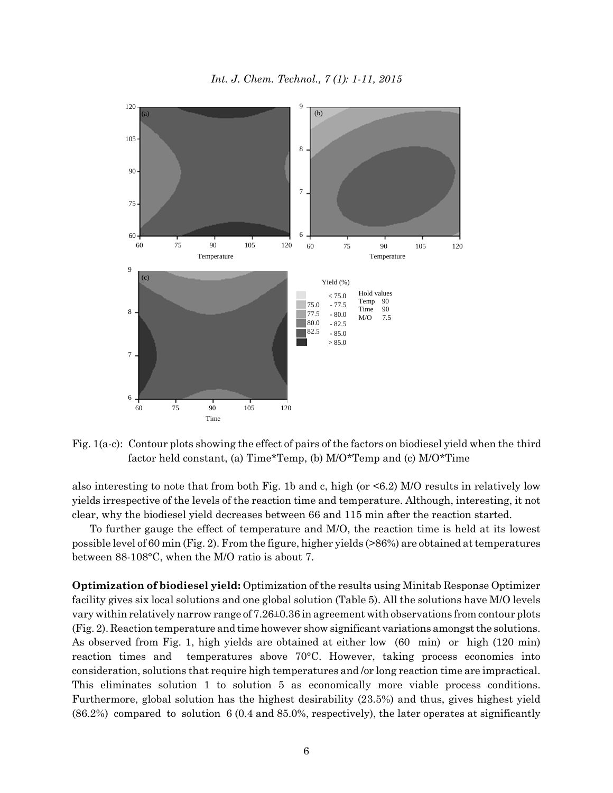*Int. J. Chem. Technol., 7 (1): 1-11, 2015*



Fig. 1(a-c): Contour plots showing the effect of pairs of the factors on biodiesel yield when the third factor held constant, (a) Time\*Temp, (b) M/O\*Temp and (c) M/O\*Time

also interesting to note that from both Fig. 1b and c, high (or <6.2) M/O results in relatively low yields irrespective of the levels of the reaction time and temperature. Although, interesting, it not clear, why the biodiesel yield decreases between 66 and 115 min after the reaction started.

To further gauge the effect of temperature and M/O, the reaction time is held at its lowest possible level of 60 min (Fig. 2). From the figure, higher yields (>86%) are obtained at temperatures between 88-108°C, when the M/O ratio is about 7.

**Optimization of biodiesel yield:** Optimization of the results using Minitab Response Optimizer facility gives six local solutions and one global solution (Table 5). All the solutions have M/O levels vary within relatively narrow range of 7.26±0.36 in agreement with observations from contour plots (Fig. 2). Reaction temperature and time however show significant variations amongst the solutions. As observed from Fig. 1, high yields are obtained at either low (60 min) or high (120 min) reaction times and temperatures above 70°C. However, taking process economics into consideration, solutions that require high temperatures and /or long reaction time are impractical. This eliminates solution 1 to solution 5 as economically more viable process conditions. Furthermore, global solution has the highest desirability (23.5%) and thus, gives highest yield (86.2%) compared to solution 6 (0.4 and 85.0%, respectively), the later operates at significantly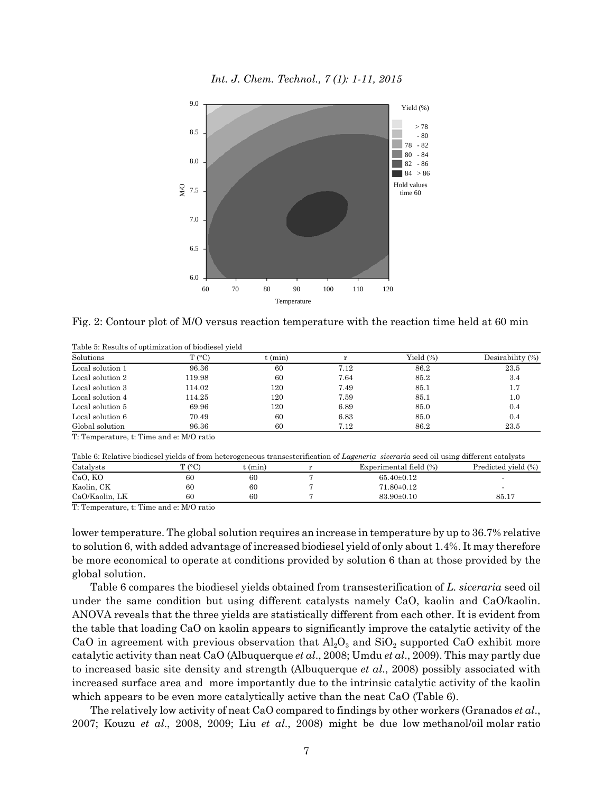

Fig. 2: Contour plot of M/O versus reaction temperature with the reaction time held at 60 min

| $T (^{\circ}C)$ | t (min) |      | Yield (%) | Desirability (%) |
|-----------------|---------|------|-----------|------------------|
| 96.36           | 60      | 7.12 | 86.2      | 23.5             |
| 119.98          | 60      | 7.64 | 85.2      | 3.4              |
| 114.02          | 120     | 7.49 | 85.1      | 1.7              |
| 114.25          | 120     | 7.59 | 85.1      | 1.0              |
| 69.96           | 120     | 6.89 | 85.0      | 0.4              |
| 70.49           | 60      | 6.83 | 85.0      | 0.4              |
| 96.36           | 60      | 7.12 | 86.2      | 23.5             |
|                 |         |      |           |                  |

Table 5: Results of optimization of biodiesel yield

T: Temperature, t: Time and e: M/O ratio

| Table 6: Relative biodiesel yields of from heterogeneous transesterification of Lageneria siceraria seed oil using different catalysts |        |           |  |                        |                     |  |
|----------------------------------------------------------------------------------------------------------------------------------------|--------|-----------|--|------------------------|---------------------|--|
| Catalysts                                                                                                                              | T (°C) | $t$ (min) |  | Experimental field (%) | Predicted yield (%) |  |
| CaO, KO                                                                                                                                | 60     | 60        |  | $65.40 \pm 0.12$       |                     |  |
| Kaolin, CK                                                                                                                             | 60     | 60        |  | $71.80 \pm 0.12$       |                     |  |
| CaO/Kaolin, LK                                                                                                                         | 60     | 60        |  | $83.90 \pm 0.10$       | 85.17               |  |
| ___<br>$\sim$                                                                                                                          | ______ |           |  |                        |                     |  |

T: Temperature, t: Time and e: M/O ratio

lower temperature. The global solution requires an increase in temperature by up to 36.7% relative to solution 6, with added advantage of increased biodiesel yield of only about 1.4%. It may therefore be more economical to operate at conditions provided by solution 6 than at those provided by the global solution.

Table 6 compares the biodiesel yields obtained from transesterification of *L. siceraria* seed oil under the same condition but using different catalysts namely CaO, kaolin and CaO/kaolin. ANOVA reveals that the three yields are statistically different from each other. It is evident from the table that loading CaO on kaolin appears to significantly improve the catalytic activity of the CaO in agreement with previous observation that  $Al_2O_3$  and  $SiO_2$  supported CaO exhibit more catalytic activity than neat CaO (Albuquerque *et al*., 2008; Umdu *et al*., 2009). This may partly due to increased basic site density and strength (Albuquerque *et al*., 2008) possibly associated with increased surface area and more importantly due to the intrinsic catalytic activity of the kaolin which appears to be even more catalytically active than the neat CaO (Table 6).

The relatively low activity of neat CaO compared to findings by other workers (Granados *et al*., 2007; Kouzu *et al*., 2008, 2009; Liu *et al*., 2008) might be due low methanol/oil molar ratio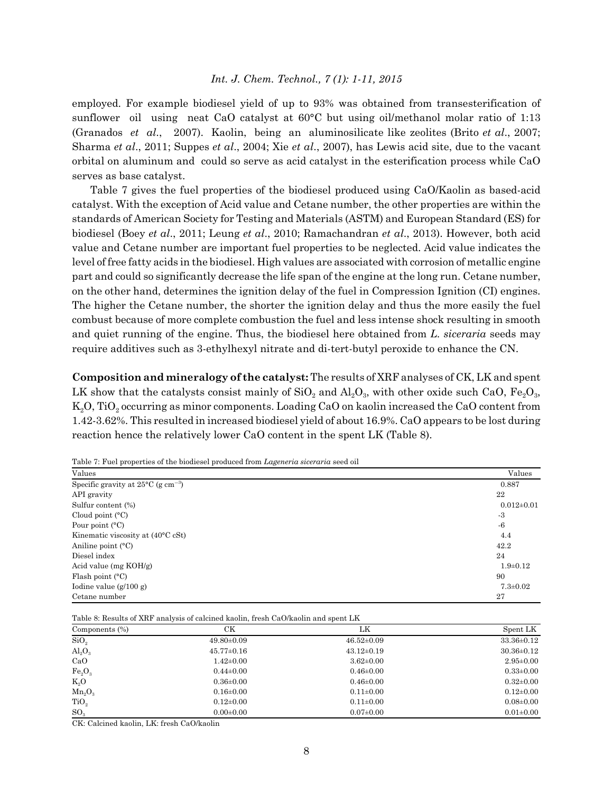employed. For example biodiesel yield of up to 93% was obtained from transesterification of sunflower oil using neat CaO catalyst at 60°C but using oil/methanol molar ratio of 1:13 (Granados *et al*., 2007). Kaolin, being an aluminosilicate like zeolites (Brito *et al*., 2007; Sharma *et al*., 2011; Suppes *et al*., 2004; Xie *et al*., 2007), has Lewis acid site, due to the vacant orbital on aluminum and could so serve as acid catalyst in the esterification process while CaO serves as base catalyst.

Table 7 gives the fuel properties of the biodiesel produced using CaO/Kaolin as based-acid catalyst. With the exception of Acid value and Cetane number, the other properties are within the standards of American Society for Testing and Materials (ASTM) and European Standard (ES) for biodiesel (Boey *et al*., 2011; Leung *et al*., 2010; Ramachandran *et al*., 2013). However, both acid value and Cetane number are important fuel properties to be neglected. Acid value indicates the level of free fatty acids in the biodiesel. High values are associated with corrosion of metallic engine part and could so significantly decrease the life span of the engine at the long run. Cetane number, on the other hand, determines the ignition delay of the fuel in Compression Ignition (CI) engines. The higher the Cetane number, the shorter the ignition delay and thus the more easily the fuel combust because of more complete combustion the fuel and less intense shock resulting in smooth and quiet running of the engine. Thus, the biodiesel here obtained from *L. siceraria* seeds may require additives such as 3-ethylhexyl nitrate and di-tert-butyl peroxide to enhance the CN.

**Composition and mineralogy of the catalyst:** The results of XRF analyses of CK, LK and spent LK show that the catalysts consist mainly of  $SiO<sub>2</sub>$  and  $Al<sub>2</sub>O<sub>3</sub>$ , with other oxide such CaO, Fe<sub>2</sub>O<sub>3</sub>, K<sub>2</sub>O, TiO<sub>2</sub> occurring as minor components. Loading CaO on kaolin increased the CaO content from 1.42-3.62%. This resulted in increased biodiesel yield of about 16.9%. CaO appears to be lost during reaction hence the relatively lower CaO content in the spent LK (Table 8).

| Values                                                   | Values           |
|----------------------------------------------------------|------------------|
| Specific gravity at $25^{\circ}$ C (g cm <sup>-3</sup> ) | 0.887            |
| API gravity                                              | 22               |
| Sulfur content (%)                                       | $0.012 \pm 0.01$ |
| Cloud point $(C)$                                        | $-3$             |
| Pour point $(C)$                                         | $-6$             |
| Kinematic viscosity at $(40^{\circ}$ C cSt)              | 4.4              |
| Aniline point $(^{\circ}C)$                              | 42.2             |
| Diesel index                                             | 24               |
| Acid value (mg $KOH/g$ )                                 | $1.9 + 0.12$     |
| Flash point $(C)$                                        | 90               |
| Iodine value $(g/100 g)$                                 | $7.3 \pm 0.02$   |
| Cetane number                                            | 27               |

Table 7: Fuel properties of the biodiesel produced from *Lageneria siceraria* seed oil

Table 8: Results of XRF analysis of calcined kaolin, fresh CaO/kaolin and spent LK

| Components (%)          | CК               | LK               | Spent LK         |
|-------------------------|------------------|------------------|------------------|
| SiO <sub>2</sub>        | $49.80 \pm 0.09$ | $46.52 \pm 0.09$ | $33.36 \pm 0.12$ |
| $\text{Al}_2\text{O}_3$ | $45.77 \pm 0.16$ | $43.12 \pm 0.19$ | $30.36 \pm 0.12$ |
| CaO                     | $1.42 \pm 0.00$  | $3.62 \pm 0.00$  | $2.95 \pm 0.00$  |
| $Fe_2O_3$               | $0.44 \pm 0.00$  | $0.46 \pm 0.00$  | $0.33 \pm 0.00$  |
| $K_2O$                  | $0.36 \pm 0.00$  | $0.46 \pm 0.00$  | $0.32 \pm 0.00$  |
| $Mn_2O_3$               | $0.16 \pm 0.00$  | $0.11 \pm 0.00$  | $0.12 \pm 0.00$  |
| TiO <sub>2</sub>        | $0.12 \pm 0.00$  | $0.11 \pm 0.00$  | $0.08 \pm 0.00$  |
| SO <sub>3</sub>         | $0.00 \pm 0.00$  | $0.07 \pm 0.00$  | $0.01 \pm 0.00$  |

CK: Calcined kaolin, LK: fresh CaO/kaolin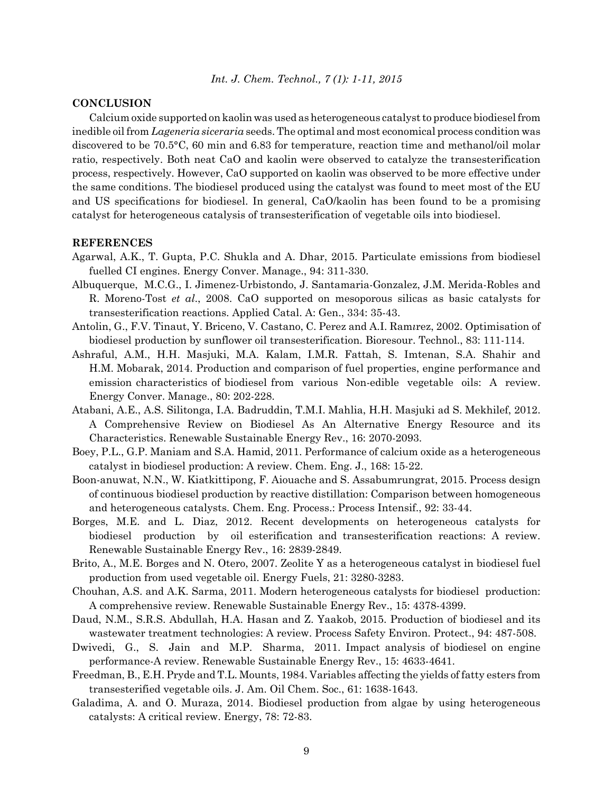# **CONCLUSION**

Calcium oxide supported on kaolin was used as heterogeneous catalyst to produce biodiesel from inedible oil from *Lageneria siceraria* seeds. The optimal and most economical process condition was discovered to be 70.5°C, 60 min and 6.83 for temperature, reaction time and methanol/oil molar ratio, respectively. Both neat CaO and kaolin were observed to catalyze the transesterification process, respectively. However, CaO supported on kaolin was observed to be more effective under the same conditions. The biodiesel produced using the catalyst was found to meet most of the EU and US specifications for biodiesel. In general, CaO/kaolin has been found to be a promising catalyst for heterogeneous catalysis of transesterification of vegetable oils into biodiesel.

### **REFERENCES**

- Agarwal, A.K., T. Gupta, P.C. Shukla and A. Dhar, 2015. Particulate emissions from biodiesel fuelled CI engines. Energy Conver. Manage., 94: 311-330.
- Albuquerque, M.C.G., I. Jimenez-Urbistondo, J. Santamaria-Gonzalez, J.M. Merida-Robles and R. Moreno-Tost *et al*., 2008. CaO supported on mesoporous silicas as basic catalysts for transesterification reactions. Applied Catal. A: Gen., 334: 35-43.
- Antolin, G., F.V. Tinaut, Y. Briceno, V. Castano, C. Perez and A.I. Ram*ı*rez, 2002. Optimisation of biodiesel production by sunflower oil transesterification. Bioresour. Technol., 83: 111-114.
- Ashraful, A.M., H.H. Masjuki, M.A. Kalam, I.M.R. Fattah, S. Imtenan, S.A. Shahir and H.M. Mobarak, 2014. Production and comparison of fuel properties, engine performance and emission characteristics of biodiesel from various Non-edible vegetable oils: A review. Energy Conver. Manage., 80: 202-228.
- Atabani, A.E., A.S. Silitonga, I.A. Badruddin, T.M.I. Mahlia, H.H. Masjuki ad S. Mekhilef, 2012. A Comprehensive Review on Biodiesel As An Alternative Energy Resource and its Characteristics. Renewable Sustainable Energy Rev., 16: 2070-2093.
- Boey, P.L., G.P. Maniam and S.A. Hamid, 2011. Performance of calcium oxide as a heterogeneous catalyst in biodiesel production: A review. Chem. Eng. J., 168: 15-22.
- Boon-anuwat, N.N., W. Kiatkittipong, F. Aiouache and S. Assabumrungrat, 2015. Process design of continuous biodiesel production by reactive distillation: Comparison between homogeneous and heterogeneous catalysts. Chem. Eng. Process.: Process Intensif., 92: 33-44.
- Borges, M.E. and L. Diaz, 2012. Recent developments on heterogeneous catalysts for biodiesel production by oil esterification and transesterification reactions: A review. Renewable Sustainable Energy Rev., 16: 2839-2849.
- Brito, A., M.E. Borges and N. Otero, 2007. Zeolite Y as a heterogeneous catalyst in biodiesel fuel production from used vegetable oil. Energy Fuels, 21: 3280-3283.
- Chouhan, A.S. and A.K. Sarma, 2011. Modern heterogeneous catalysts for biodiesel production: A comprehensive review. Renewable Sustainable Energy Rev., 15: 4378-4399.
- Daud, N.M., S.R.S. Abdullah, H.A. Hasan and Z. Yaakob, 2015. Production of biodiesel and its wastewater treatment technologies: A review. Process Safety Environ. Protect., 94: 487-508.
- Dwivedi, G., S. Jain and M.P. Sharma, 2011. Impact analysis of biodiesel on engine performance-A review. Renewable Sustainable Energy Rev., 15: 4633-4641.
- Freedman, B., E.H. Pryde and T.L. Mounts, 1984. Variables affecting the yields of fatty esters from transesterified vegetable oils. J. Am. Oil Chem. Soc., 61: 1638-1643.
- Galadima, A. and O. Muraza, 2014. Biodiesel production from algae by using heterogeneous catalysts: A critical review. Energy, 78: 72-83.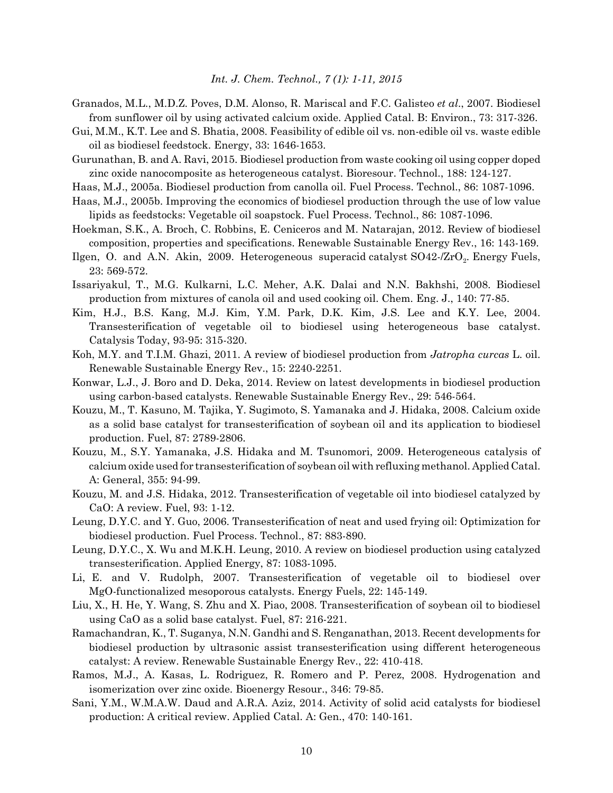- Granados, M.L., M.D.Z. Poves, D.M. Alonso, R. Mariscal and F.C. Galisteo *et al*., 2007. Biodiesel from sunflower oil by using activated calcium oxide. Applied Catal. B: Environ., 73: 317-326.
- Gui, M.M., K.T. Lee and S. Bhatia, 2008. Feasibility of edible oil vs. non-edible oil vs. waste edible oil as biodiesel feedstock. Energy, 33: 1646-1653.
- Gurunathan, B. and A. Ravi, 2015. Biodiesel production from waste cooking oil using copper doped zinc oxide nanocomposite as heterogeneous catalyst. Bioresour. Technol., 188: 124-127.
- Haas, M.J., 2005a. Biodiesel production from canolla oil. Fuel Process. Technol., 86: 1087-1096.
- Haas, M.J., 2005b. Improving the economics of biodiesel production through the use of low value lipids as feedstocks: Vegetable oil soapstock. Fuel Process. Technol., 86: 1087-1096.
- Hoekman, S.K., A. Broch, C. Robbins, E. Ceniceros and M. Natarajan, 2012. Review of biodiesel composition, properties and specifications. Renewable Sustainable Energy Rev., 16: 143-169.
- Ilgen, O. and A.N. Akin, 2009. Heterogeneous superacid catalyst  $SO42\text{-}ZrO_2$ . Energy Fuels, 23: 569-572.
- Issariyakul, T., M.G. Kulkarni, L.C. Meher, A.K. Dalai and N.N. Bakhshi, 2008. Biodiesel production from mixtures of canola oil and used cooking oil. Chem. Eng. J., 140: 77-85.
- Kim, H.J., B.S. Kang, M.J. Kim, Y.M. Park, D.K. Kim, J.S. Lee and K.Y. Lee, 2004. Transesterification of vegetable oil to biodiesel using heterogeneous base catalyst. Catalysis Today, 93-95: 315-320.
- Koh, M.Y. and T.I.M. Ghazi, 2011. A review of biodiesel production from *Jatropha curcas* L. oil. Renewable Sustainable Energy Rev., 15: 2240-2251.
- Konwar, L.J., J. Boro and D. Deka, 2014. Review on latest developments in biodiesel production using carbon-based catalysts. Renewable Sustainable Energy Rev., 29: 546-564.
- Kouzu, M., T. Kasuno, M. Tajika, Y. Sugimoto, S. Yamanaka and J. Hidaka, 2008. Calcium oxide as a solid base catalyst for transesterification of soybean oil and its application to biodiesel production. Fuel, 87: 2789-2806.
- Kouzu, M., S.Y. Yamanaka, J.S. Hidaka and M. Tsunomori, 2009. Heterogeneous catalysis of calcium oxide used for transesterification of soybean oil with refluxing methanol. Applied Catal. A: General, 355: 94-99.
- Kouzu, M. and J.S. Hidaka, 2012. Transesterification of vegetable oil into biodiesel catalyzed by CaO: A review. Fuel, 93: 1-12.
- Leung, D.Y.C. and Y. Guo, 2006. Transesterification of neat and used frying oil: Optimization for biodiesel production. Fuel Process. Technol., 87: 883-890.
- Leung, D.Y.C., X. Wu and M.K.H. Leung, 2010. A review on biodiesel production using catalyzed transesterification. Applied Energy, 87: 1083-1095.
- Li, E. and V. Rudolph, 2007. Transesterification of vegetable oil to biodiesel over MgO-functionalized mesoporous catalysts. Energy Fuels, 22: 145-149.
- Liu, X., H. He, Y. Wang, S. Zhu and X. Piao, 2008. Transesterification of soybean oil to biodiesel using CaO as a solid base catalyst. Fuel, 87: 216-221.
- Ramachandran, K., T. Suganya, N.N. Gandhi and S. Renganathan, 2013. Recent developments for biodiesel production by ultrasonic assist transesterification using different heterogeneous catalyst: A review. Renewable Sustainable Energy Rev., 22: 410-418.
- Ramos, M.J., A. Kasas, L. Rodriguez, R. Romero and P. Perez, 2008. Hydrogenation and isomerization over zinc oxide. Bioenergy Resour., 346: 79-85.
- Sani, Y.M., W.M.A.W. Daud and A.R.A. Aziz, 2014. Activity of solid acid catalysts for biodiesel production: A critical review. Applied Catal. A: Gen., 470: 140-161.